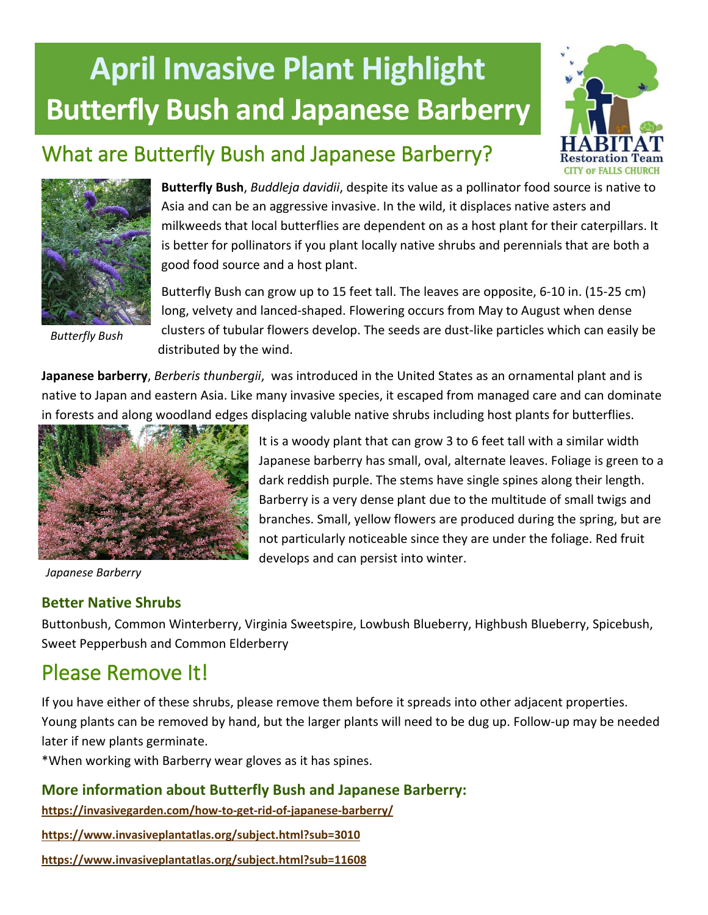# **April Invasive Plant Highlight Butterfly Bush and Japanese Barberry**



## What are Butterfly Bush and Japanese Barberry?



*Butterfly Bush*

**Butterfly Bush**, *Buddleja davidii*, despite its value as a pollinator food source is native to Asia and can be an aggressive invasive. In the wild, it displaces native asters and milkweeds that local butterflies are dependent on as a host plant for their caterpillars. It is better for pollinators if you plant locally native shrubs and perennials that are both a good food source and a host plant.

Butterfly Bush can grow up to 15 feet tall. The leaves are opposite, 6-10 in. (15-25 cm) long, velvety and lanced-shaped. Flowering occurs from May to August when dense clusters of tubular flowers develop. The seeds are dust-like particles which can easily be distributed by the wind.

**Japanese barberry**, *Berberis thunbergii*, was introduced in the United States as an ornamental plant and is native to Japan and eastern Asia. Like many invasive species, it escaped from managed care and can dominate in forests and along woodland edges displacing valuble native shrubs including host plants for butterflies.



It is a woody plant that can grow 3 to 6 feet tall with a similar width Japanese barberry has small, oval, alternate leaves. Foliage is green to a dark reddish purple. The stems have single spines along their length. Barberry is a very dense plant due to the multitude of small twigs and branches. Small, yellow flowers are produced during the spring, but are not particularly noticeable since they are under the foliage. Red fruit develops and can persist into winter.

*Japanese Barberry*

#### **Better Native Shrubs**

Buttonbush, Common Winterberry, Virginia Sweetspire, Lowbush Blueberry, Highbush Blueberry, Spicebush, Sweet Pepperbush and Common Elderberry

## Please Remove It!

If you have either of these shrubs, please remove them before it spreads into other adjacent properties. Young plants can be removed by hand, but the larger plants will need to be dug up. Follow-up may be needed later if new plants germinate.

\*When working with Barberry wear gloves as it has spines.

#### **More information about Butterfly Bush and Japanese Barberry:**

**<https://invasivegarden.com/how-to-get-rid-of-japanese-barberry/>**

**<https://www.invasiveplantatlas.org/subject.html?sub=3010>**

**https://www.invasiveplantatlas.org/subject.html?sub=11608**